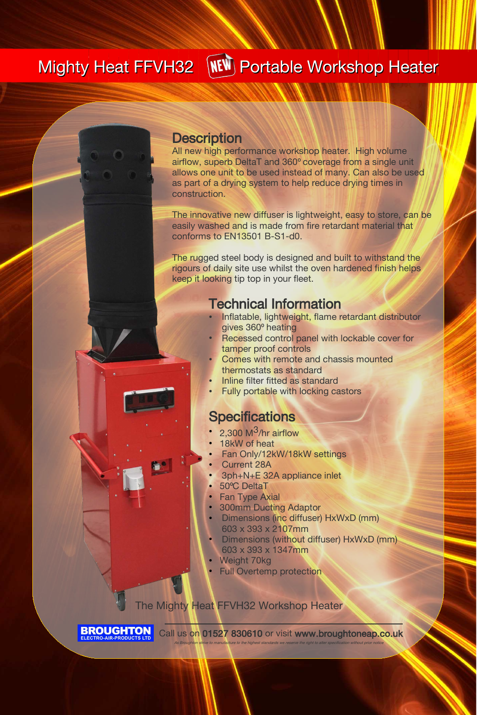# Mighty Heat FFVH32 MEW Portable Workshop Heater

#### **Description**

All new high performance workshop heater. High volume airflow, superb DeltaT and 360° coverage from a single unit allows one unit to be used instead of many. Can also be used as part of a drying system to help reduce drying times in construction.

The innovative new diffuser is lightweight, easy to store, can be easily washed and is made from fire retardant material that conforms to EN13501 B-S1-d0.

The rugged steel body is designed and built to withstand the rigours of daily site use whilst the oven hardened finish helps keep it looking tip top in your fleet.

#### Technical Information

- Inflatable, lightweight, flame retardant distributor gives 360° heating
- Recessed control panel with lockable cover for tamper proof controls
- Comes with remote and chassis mounted thermostats as standard
- Inline filter fitted as standard
- **Fully portable with locking castors**

### **Specifications**

- 2,300  $M<sup>3</sup>/hr$  airflow
- 18kW of heat
- Fan Only/12kW/18kW settings
- **Current 28A**
- 3ph+N+E 32A appliance inlet
- 50°C DeltaT
- **Fan Type Axial**
- **300mm Ducting Adaptor**
- **Dimensions (inc diffuser) HxWxD (mm)** 603 x 393 x 2107mm
- Dimensions (without diffuser) HxWxD (mm) 603 x 393 x 1347mm
- Weight 70kg
- **Full Overtemp protection**

The Mighty Heat FFVH32 Workshop Heater

**BROUGHTON** 

Call us on 01527 830610 or visit www.broughtoneap.co.uk As Broughton strive to manufacture to the highest standards we reserve the right to alter specification without prior notice